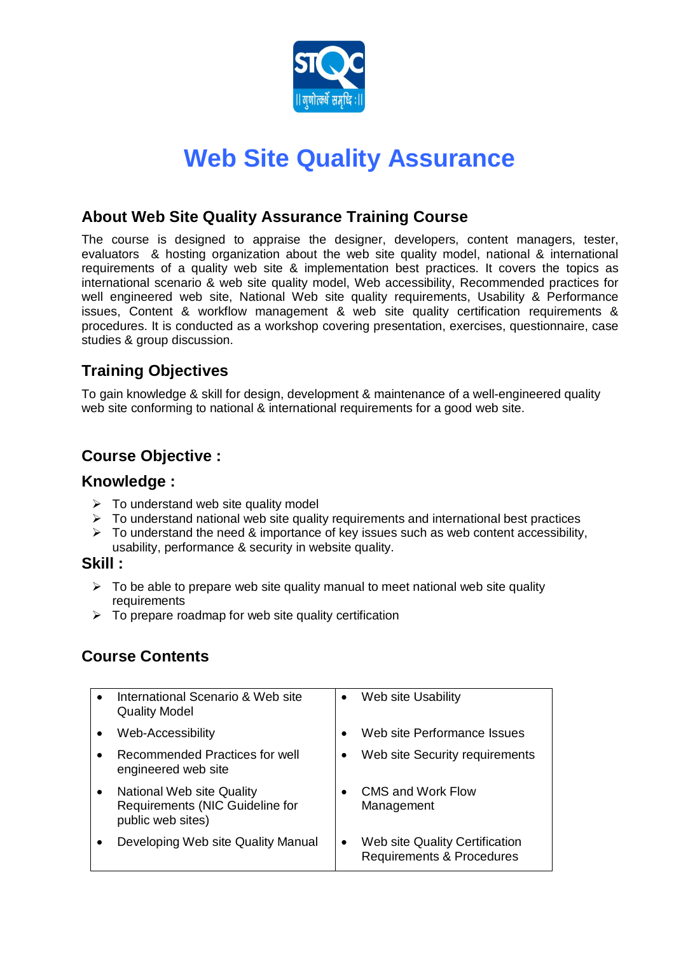

# **Web Site Quality Assurance**

### **About Web Site Quality Assurance Training Course**

The course is designed to appraise the designer, developers, content managers, tester, evaluators & hosting organization about the web site quality model, national & international requirements of a quality web site & implementation best practices. It covers the topics as international scenario & web site quality model, Web accessibility, Recommended practices for well engineered web site, National Web site quality requirements, Usability & Performance issues, Content & workflow management & web site quality certification requirements & procedures. It is conducted as a workshop covering presentation, exercises, questionnaire, case studies & group discussion.

# **Training Objectives**

To gain knowledge & skill for design, development & maintenance of a well-engineered quality web site conforming to national & international requirements for a good web site.

## **Course Objective :**

#### **Knowledge :**

- $\triangleright$  To understand web site quality model
- $\triangleright$  To understand national web site quality requirements and international best practices
- $\triangleright$  To understand the need & importance of key issues such as web content accessibility, usability, performance & security in website quality.

#### **Skill :**

- $\triangleright$  To be able to prepare web site quality manual to meet national web site quality requirements
- $\triangleright$  To prepare roadmap for web site quality certification

# **Course Contents**

| International Scenario & Web site<br><b>Quality Model</b>                         | Web site Usability                                                     |
|-----------------------------------------------------------------------------------|------------------------------------------------------------------------|
| Web-Accessibility                                                                 | Web site Performance Issues                                            |
| Recommended Practices for well<br>engineered web site                             | Web site Security requirements                                         |
| National Web site Quality<br>Requirements (NIC Guideline for<br>public web sites) | <b>CMS and Work Flow</b><br>Management                                 |
| Developing Web site Quality Manual                                                | Web site Quality Certification<br><b>Requirements &amp; Procedures</b> |